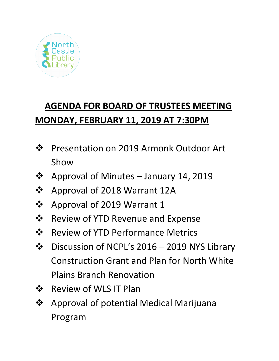

# **AGENDA FOR BOARD OF TRUSTEES MEETING MONDAY, FEBRUARY 11, 2019 AT 7:30PM**

- ❖ Presentation on 2019 Armonk Outdoor Art Show
- **❖** Approval of Minutes January 14, 2019
- Approval of 2018 Warrant 12A
- ❖ Approval of 2019 Warrant 1
- **❖** Review of YTD Revenue and Expense
- ❖ Review of YTD Performance Metrics
- Discussion of NCPL's 2016 2019 NYS Library Construction Grant and Plan for North White Plains Branch Renovation
- ❖ Review of WLS IT Plan
- Approval of potential Medical Marijuana Program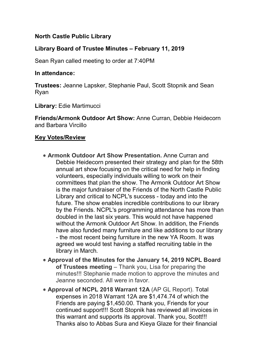## **North Castle Public Library**

## **Library Board of Trustee Minutes – February 11, 2019**

Sean Ryan called meeting to order at 7:40PM

#### **In attendance:**

**Trustees:** Jeanne Lapsker, Stephanie Paul, Scott Stopnik and Sean Ryan

**Library:** Edie Martimucci

**Friends/Armonk Outdoor Art Show:** Anne Curran, Debbie Heidecorn and Barbara Vircillo

#### **Key Votes/Review**

- **Armonk Outdoor Art Show Presentation.** Anne Curran and Debbie Heidecorn presented their strategy and plan for the 58th annual art show focusing on the critical need for help in finding volunteers, especially individuals willing to work on their committees that plan the show. The Armonk Outdoor Art Show is the major fundraiser of the Friends of the North Castle Public Library and critical to NCPL's success - today and into the future. The show enables incredible contributions to our library by the Friends. NCPL's programming attendance has more than doubled in the last six years. This would not have happened without the Armonk Outdoor Art Show. In addition, the Friends have also funded many furniture and like additions to our library - the most recent being furniture in the new YA Room. It was agreed we would test having a staffed recruiting table in the library in March.
- **Approval of the Minutes for the January 14, 2019 NCPL Board of Trustees meeting** – Thank you, Lisa for preparing the minutes!!! Stephanie made motion to approve the minutes and Jeanne seconded. All were in favor.
- **Approval of NCPL 2018 Warrant 12A** (AP GL Report). Total expenses in 2018 Warrant 12A are \$1,474.74 of which the Friends are paying \$1,450.00. Thank you, Friends for your continued support!!! Scott Stopnik has reviewed all invoices in this warrant and supports its approval. Thank you, Scott!!! Thanks also to Abbas Sura and Kieya Glaze for their financial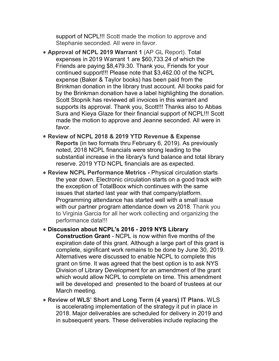support of NCPL!!! Scott made the motion to approve and Stephanie seconded. All were in favor.

- **Approval of NCPL 2019 Warrant 1** (AP GL Report). Total expenses in 2019 Warrant 1 are \$60,733.24 of which the Friends are paying \$8,479.30. Thank you, Friends for your continued support!!! Please note that \$3,462.00 of the NCPL expense (Baker & Taylor books) has been paid from the Brinkman donation in the library trust account. All books paid for by the Brinkman donation have a label highlighting the donation. Scott Stopnik has reviewed all invoices in this warrant and supports its approval. Thank you, Scott!!! Thanks also to Abbas Sura and Kieya Glaze for their financial support of NCPL!!! Scott made the motion to approve and Jeanne seconded. All were in favor.
- **Review of NCPL 2018 & 2019 YTD Revenue & Expense Reports** (in two formats thru February 6, 2019). As previously noted, 2018 NCPL financials were strong leading to the substantial increase in the library's fund balance and total library reserve. 2019 YTD NCPL financials are as expected.
- **Review NCPL Performance Metrics -** Physical circulation starts the year down. Electronic circulation starts on a good track with the exception of TotalBoox which continues with the same issues that started last year with that company/platform. Programming attendance has started well with a small issue with our partner program attendance down vs 2018. Thank you to Virginia Garcia for all her work collecting and organizing the performance data!!!

## **Discussion about NCPL's 2016 - 2019 NYS Library**

**Construction Grant** - NCPL is now within five months of the expiration date of this grant. Although a large part of this grant is complete, significant work remains to be done by June 30, 2019. Alternatives were discussed to enable NCPL to complete this grant on time. It was agreed that the best option is to ask NYS Division of Library Development for an amendment of the grant which would allow NCPL to complete on time. This amendment will be developed and presented to the board of trustees at our March meeting.

**Review of WLS' Short and Long Term (4 years) IT Plans.** WLS is accelerating implementation of the strategy it put in place in 2018. Major deliverables are scheduled for delivery in 2019 and in subsequent years. These deliverables include replacing the